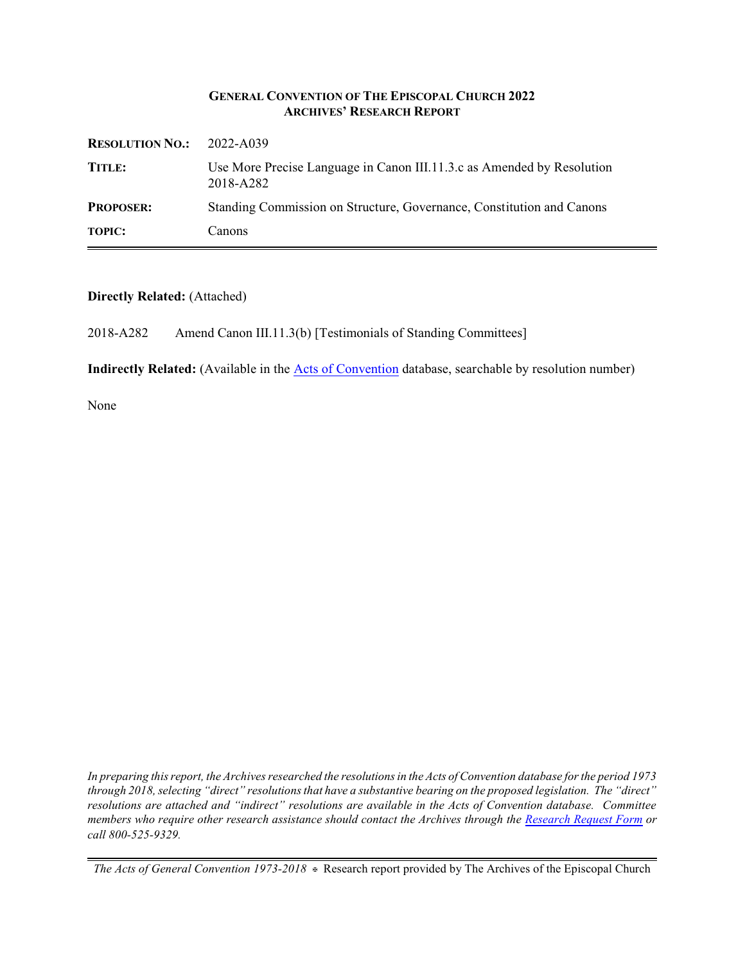#### **GENERAL CONVENTION OF THE EPISCOPAL CHURCH 2022 ARCHIVES' RESEARCH REPORT**

| <b>RESOLUTION NO.:</b> | 2022-A039                                                                           |
|------------------------|-------------------------------------------------------------------------------------|
| TITLE:                 | Use More Precise Language in Canon III.11.3.c as Amended by Resolution<br>2018-A282 |
| <b>PROPOSER:</b>       | Standing Commission on Structure, Governance, Constitution and Canons               |
| <b>TOPIC:</b>          | Canons                                                                              |

#### **Directly Related:** (Attached)

2018-A282 Amend Canon III.11.3(b) [Testimonials of Standing Committees]

**Indirectly Related:** (Available in the [Acts of Convention](https://www.episcopalarchives.org/e-archives/acts/) database, searchable by resolution number)

None

*In preparing this report, the Archives researched the resolutions in the Acts of Convention database for the period 1973 through 2018, selecting "direct" resolutions that have a substantive bearing on the proposed legislation. The "direct" resolutions are attached and "indirect" resolutions are available in the Acts of Convention database. Committee members who require other research assistance should contact the Archives through the Research [Request Form](https://www.episcopalarchives.org/contact/research-request-form) or call 800-525-9329.*

*The Acts of General Convention 1973-2018*  $*$  Research report provided by The Archives of the Episcopal Church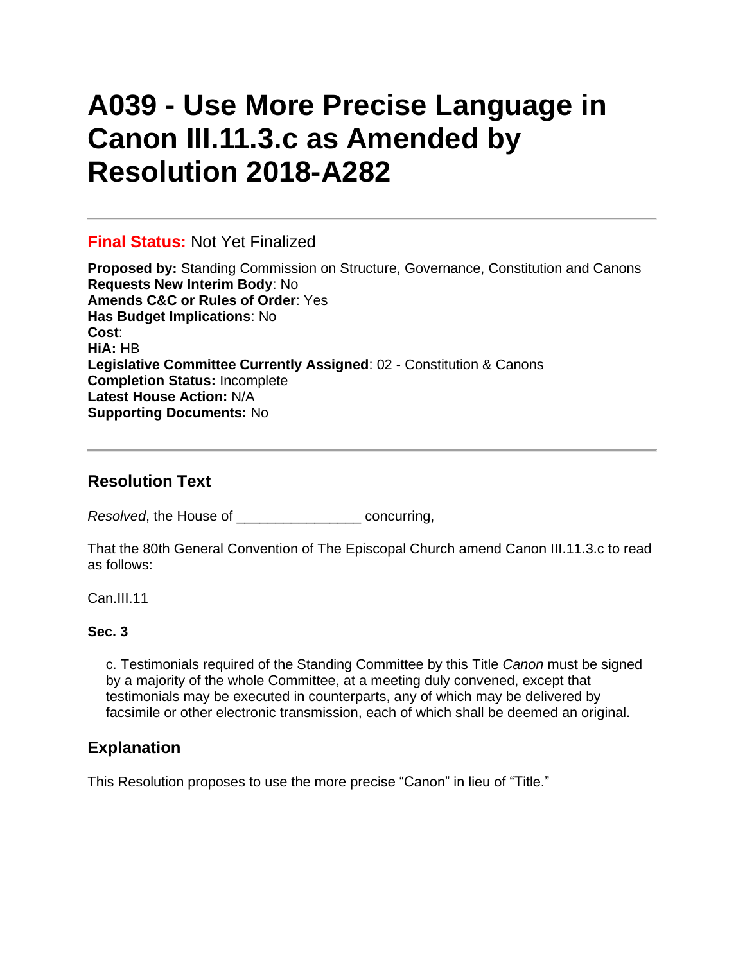# **A039 - Use More Precise Language in Canon III.11.3.c as Amended by Resolution 2018-A282**

### **Final Status:** Not Yet Finalized

**Proposed by:** Standing Commission on Structure, Governance, Constitution and Canons **Requests New Interim Body**: No **Amends C&C or Rules of Order**: Yes **Has Budget Implications**: No **Cost**: **HiA:** HB **Legislative Committee Currently Assigned**: 02 - Constitution & Canons **Completion Status:** Incomplete **Latest House Action:** N/A **Supporting Documents:** No

## **Resolution Text**

*Resolved*, the House of \_\_\_\_\_\_\_\_\_\_\_\_\_\_\_\_ concurring,

That the 80th General Convention of The Episcopal Church amend Canon III.11.3.c to read as follows:

Can.III.11

#### **Sec. 3**

c. Testimonials required of the Standing Committee by this Title *Canon* must be signed by a majority of the whole Committee, at a meeting duly convened, except that testimonials may be executed in counterparts, any of which may be delivered by facsimile or other electronic transmission, each of which shall be deemed an original.

## **Explanation**

This Resolution proposes to use the more precise "Canon" in lieu of "Title."